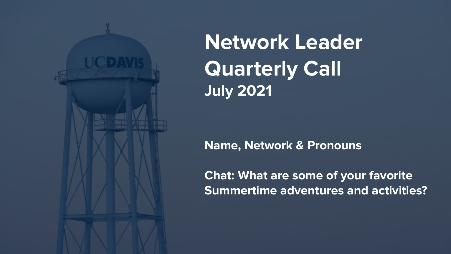

**Network Leader Quarterly Call July 2021**

**Name, Network & Pronouns**

**Chat: What are some of your favorite Summertime adventures and activities?**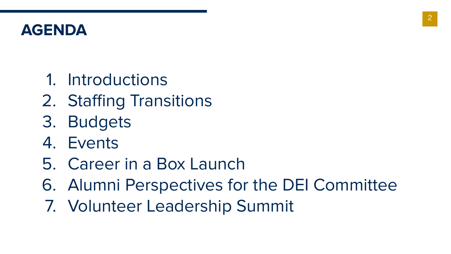#### **AGENDA**

- 1. Introductions
- 2. Staffing Transitions
- 3. Budgets
- 4. Events
- 5. Career in a Box Launch
- 6. Alumni Perspectives for the DEI Committee
- 7. Volunteer Leadership Summit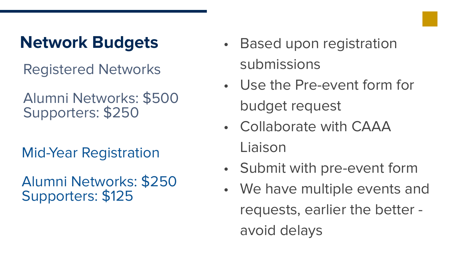# **Network Budgets**

- Registered Networks
- Alumni Networks: \$500 Supporters: \$250
- Mid-Year Registration
- Alumni Networks: \$250 Supporters: \$125
- Based upon registration submissions
- Use the Pre-event form for budget request
- Collaborate with CAAA Liaison
- Submit with pre-event form
- We have multiple events and requests, earlier the better avoid delays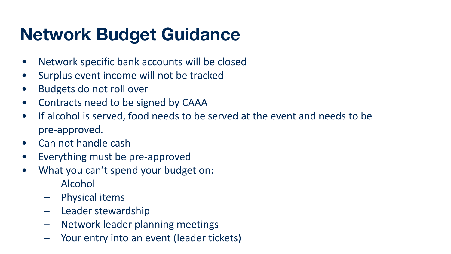# **Network Budget Guidance**

- Network specific bank accounts will be closed
- Surplus event income will not be tracked
- Budgets do not roll over
- Contracts need to be signed by CAAA
- If alcohol is served, food needs to be served at the event and needs to be pre-approved.
- Can not handle cash
- Everything must be pre-approved
- What you can't spend your budget on:
	- Alcohol
	- Physical items
	- Leader stewardship
	- Network leader planning meetings
	- Your entry into an event (leader tickets)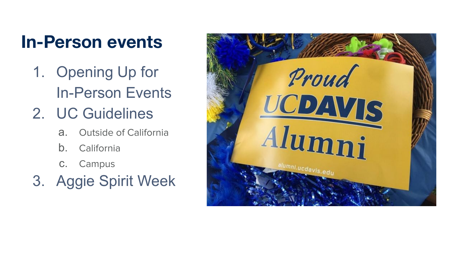# **In-Person events**

- 1. Opening Up for In-Person Events
- 2. UC Guidelines
	- a. Outside of California
	- b. California
	- c. Campus
- 3. Aggie Spirit Week

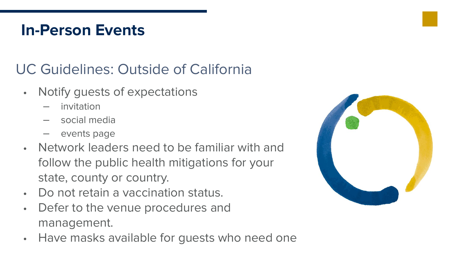### **In-Person Events**

## UC Guidelines: Outside of California

- Notify guests of expectations
	- invitation
	- social media
	- events page
- Network leaders need to be familiar with and follow the public health mitigations for your state, county or country.
- Do not retain a vaccination status.
- Defer to the venue procedures and management.
- Have masks available for guests who need one

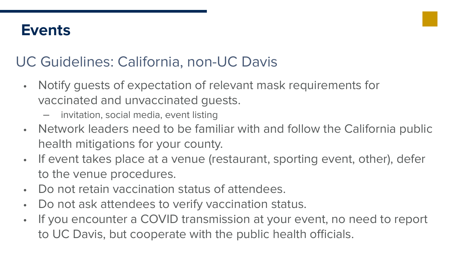#### **Events**

#### UC Guidelines: California, non-UC Davis

- Notify guests of expectation of relevant mask requirements for vaccinated and unvaccinated guests.
	- invitation, social media, event listing
- Network leaders need to be familiar with and follow the California public health mitigations for your county.
- If event takes place at a venue (restaurant, sporting event, other), defer to the venue procedures.
- Do not retain vaccination status of attendees.
- Do not ask attendees to verify vaccination status.
- If you encounter a COVID transmission at your event, no need to report to UC Davis, but cooperate with the public health officials.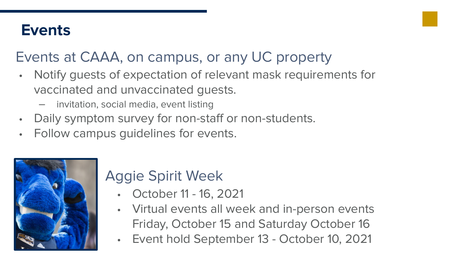#### **Events**

#### Events at CAAA, on campus, or any UC property

- Notify guests of expectation of relevant mask requirements for vaccinated and unvaccinated guests.
	- invitation, social media, event listing
- Daily symptom survey for non-staff or non-students.
- Follow campus guidelines for events.



### Aggie Spirit Week

- October 11 16, 2021
- Virtual events all week and in-person events Friday, October 15 and Saturday October 16
- Event hold September 13 October 10, 2021